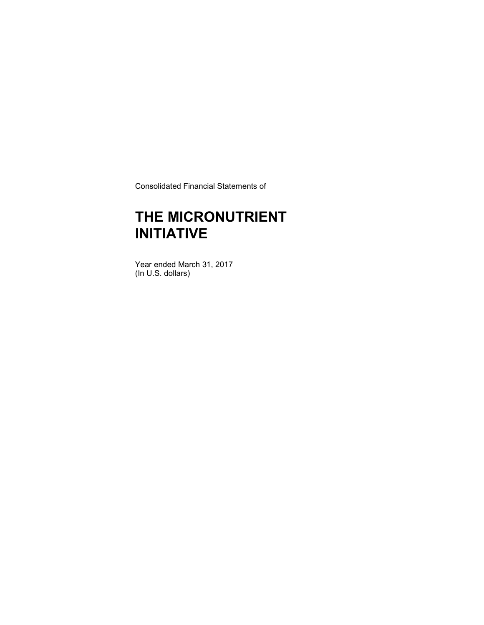Consolidated Financial Statements of

### THE MICRONUTRIENT INITIATIVE

Year ended March 31, 2017 (In U.S. dollars)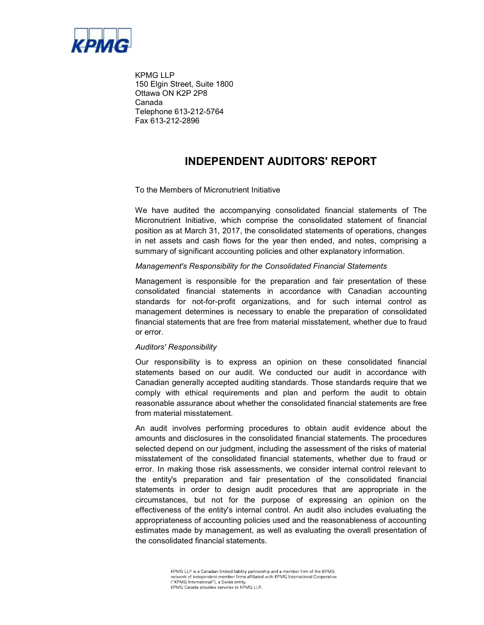

KPMG LLP 150 Elgin Street, Suite 1800 Ottawa ON K2P 2P8 Canada Telephone 613-212-5764 Fax 613-212-2896

### INDEPENDENT AUDITORS' REPORT

#### To the Members of Micronutrient Initiative

We have audited the accompanying consolidated financial statements of The Micronutrient Initiative, which comprise the consolidated statement of financial position as at March 31, 2017, the consolidated statements of operations, changes in net assets and cash flows for the year then ended, and notes, comprising a summary of significant accounting policies and other explanatory information.

#### Management's Responsibility for the Consolidated Financial Statements

Management is responsible for the preparation and fair presentation of these consolidated financial statements in accordance with Canadian accounting standards for not-for-profit organizations, and for such internal control as management determines is necessary to enable the preparation of consolidated financial statements that are free from material misstatement, whether due to fraud or error.

#### Auditors' Responsibility

Our responsibility is to express an opinion on these consolidated financial statements based on our audit. We conducted our audit in accordance with Canadian generally accepted auditing standards. Those standards require that we comply with ethical requirements and plan and perform the audit to obtain reasonable assurance about whether the consolidated financial statements are free from material misstatement.

An audit involves performing procedures to obtain audit evidence about the amounts and disclosures in the consolidated financial statements. The procedures selected depend on our judgment, including the assessment of the risks of material misstatement of the consolidated financial statements, whether due to fraud or error. In making those risk assessments, we consider internal control relevant to the entity's preparation and fair presentation of the consolidated financial statements in order to design audit procedures that are appropriate in the circumstances, but not for the purpose of expressing an opinion on the effectiveness of the entity's internal control. An audit also includes evaluating the appropriateness of accounting policies used and the reasonableness of accounting estimates made by management, as well as evaluating the overall presentation of the consolidated financial statements.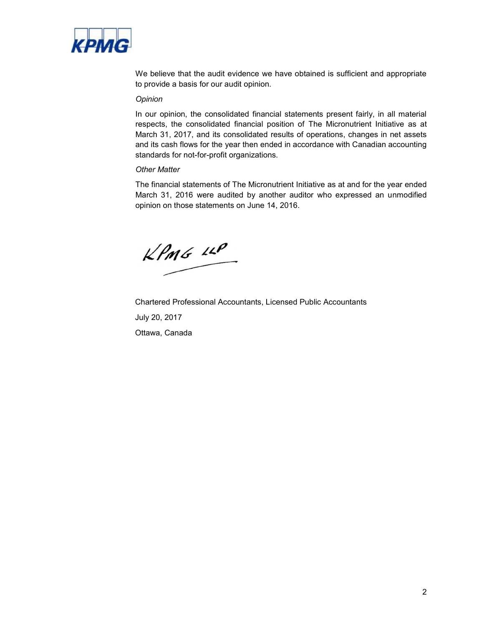

We believe that the audit evidence we have obtained is sufficient and appropriate to provide a basis for our audit opinion.

#### **Opinion**

In our opinion, the consolidated financial statements present fairly, in all material respects, the consolidated financial position of The Micronutrient Initiative as at March 31, 2017, and its consolidated results of operations, changes in net assets and its cash flows for the year then ended in accordance with Canadian accounting standards for not-for-profit organizations.

### Other Matter

The financial statements of The Micronutrient Initiative as at and for the year ended March 31, 2016 were audited by another auditor who expressed an unmodified opinion on those statements on June 14, 2016.

 $kPMS$  14P

Chartered Professional Accountants, Licensed Public Accountants July 20, 2017 Ottawa, Canada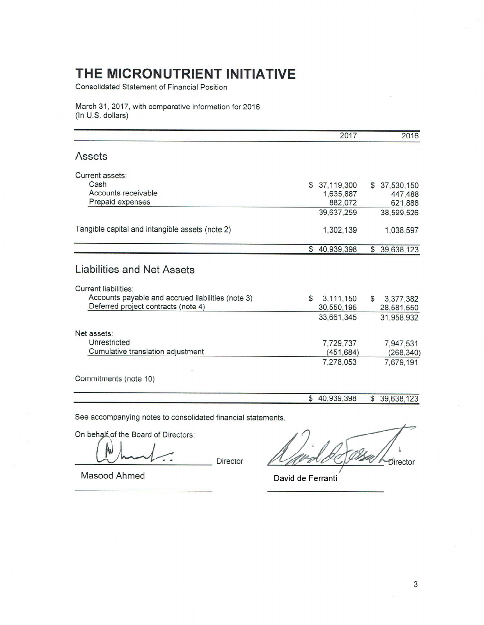Consolidated Statement of Financial Position

March 31, 2017, with comparative information for 2016 (In U.S. dollars)

|                                                                                          |              | 2017          |              | 2016          |
|------------------------------------------------------------------------------------------|--------------|---------------|--------------|---------------|
| Assets                                                                                   |              |               |              |               |
| Current assets:                                                                          |              |               |              |               |
| Cash                                                                                     |              | \$ 37,119,300 |              | \$ 37,530,150 |
| Accounts receivable                                                                      |              | 1,635,887     |              | 447,488       |
| Prepaid expenses                                                                         |              | 882,072       |              | 621,888       |
|                                                                                          |              | 39,637,259    |              | 38,599,526    |
| Tangible capital and intangible assets (note 2)                                          |              | 1,302,139     |              | 1,038,597     |
|                                                                                          | $\mathbb{S}$ | 40,939,398    | \$           | 39,638,123    |
| Liabilities and Net Assets                                                               |              |               |              |               |
| <b>Current liabilities:</b>                                                              |              |               |              |               |
| Accounts payable and accrued liabilities (note 3)<br>Deferred project contracts (note 4) | \$           | 3,111,150     | $\mathbb{S}$ | 3,377,382     |
|                                                                                          |              | 30,550,195    |              | 28,581,550    |
|                                                                                          |              | 33,661,345    |              | 31,958,932    |
| Net assets:                                                                              |              |               |              |               |
| Unrestricted                                                                             |              | 7,729,737     |              | 7,947,531     |
| Cumulative translation adjustment                                                        |              | (451, 684)    |              | (268, 340)    |
|                                                                                          |              | 7,278,053     |              | 7,679,191     |
| Commitments (note 10)                                                                    |              |               |              |               |
|                                                                                          |              |               |              |               |
|                                                                                          | $\mathbb{S}$ | 40,939,398    |              | \$39,638,123  |

See accompanying notes to consolidated financial statements.

On behalf of the Board of Directors:

 $\overline{a}$ 

Director

Director

Masood Ahmed

David de Ferranti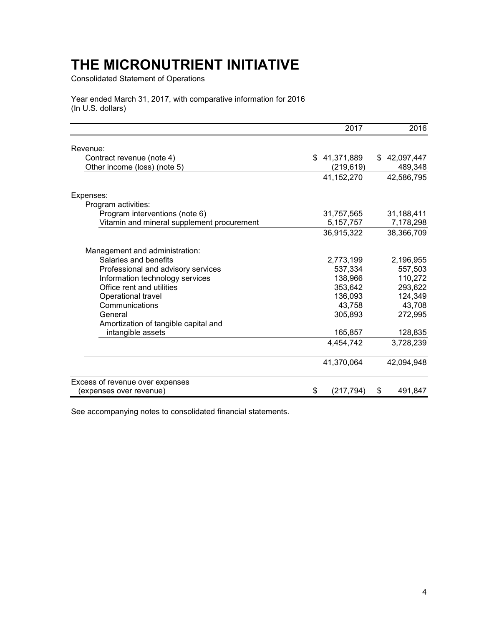Consolidated Statement of Operations

Year ended March 31, 2017, with comparative information for 2016 (In U.S. dollars)

|                                            | 2017             | 2016             |
|--------------------------------------------|------------------|------------------|
| Revenue:                                   |                  |                  |
| Contract revenue (note 4)                  | 41,371,889<br>\$ | 42,097,447<br>\$ |
| Other income (loss) (note 5)               | (219, 619)       | 489,348          |
|                                            | 41,152,270       | 42,586,795       |
| Expenses:                                  |                  |                  |
| Program activities:                        |                  |                  |
| Program interventions (note 6)             | 31,757,565       | 31,188,411       |
| Vitamin and mineral supplement procurement | 5, 157, 757      | 7,178,298        |
|                                            | 36,915,322       | 38,366,709       |
| Management and administration:             |                  |                  |
| Salaries and benefits                      | 2,773,199        | 2,196,955        |
| Professional and advisory services         | 537,334          | 557,503          |
| Information technology services            | 138,966          | 110,272          |
| Office rent and utilities                  | 353,642          | 293,622          |
| Operational travel                         | 136,093          | 124,349          |
| Communications                             | 43,758           | 43,708           |
| General                                    | 305,893          | 272,995          |
| Amortization of tangible capital and       |                  |                  |
| intangible assets                          | 165,857          | 128,835          |
|                                            | 4,454,742        | 3,728,239        |
|                                            | 41,370,064       | 42,094,948       |
| Excess of revenue over expenses            |                  |                  |
| (expenses over revenue)                    | (217, 794)<br>\$ | \$<br>491,847    |

See accompanying notes to consolidated financial statements.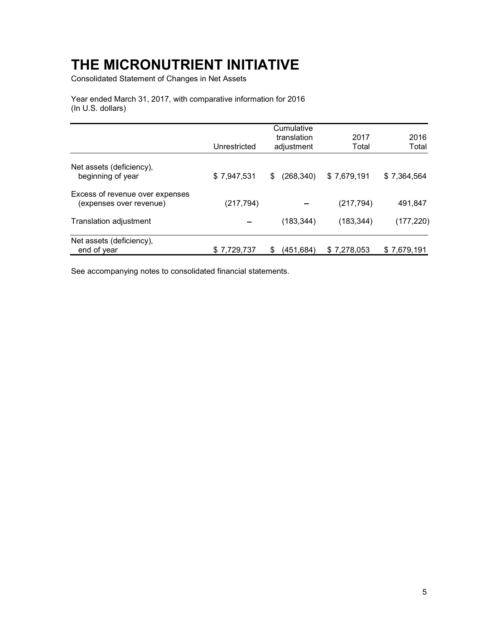Consolidated Statement of Changes in Net Assets

Year ended March 31, 2017, with comparative information for 2016 (In U.S. dollars)

|                                                            | Unrestricted | Cumulative<br>translation<br>adjustment | 2017<br>Total | 2016<br>Total |
|------------------------------------------------------------|--------------|-----------------------------------------|---------------|---------------|
| Net assets (deficiency),<br>beginning of year              | \$7,947,531  | (268, 340)<br>S.                        | \$7,679,191   | \$7,364,564   |
| Excess of revenue over expenses<br>(expenses over revenue) | (217, 794)   |                                         | (217, 794)    | 491,847       |
| Translation adjustment                                     |              | (183, 344)                              | (183, 344)    | (177,220)     |
| Net assets (deficiency),<br>end of year                    | \$7,729,737  | (451, 684)                              | \$7,278,053   | \$7,679,191   |

See accompanying notes to consolidated financial statements.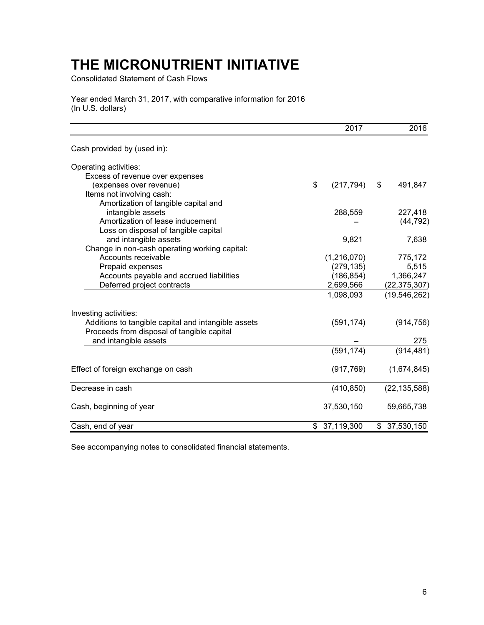Consolidated Statement of Cash Flows

Year ended March 31, 2017, with comparative information for 2016 (In U.S. dollars)

|                                                     | 2017             | 2016             |
|-----------------------------------------------------|------------------|------------------|
| Cash provided by (used in):                         |                  |                  |
| Operating activities:                               |                  |                  |
| Excess of revenue over expenses                     |                  |                  |
| (expenses over revenue)                             | \$<br>(217, 794) | 491,847<br>\$    |
| Items not involving cash:                           |                  |                  |
| Amortization of tangible capital and                |                  |                  |
| intangible assets                                   | 288,559          | 227,418          |
| Amortization of lease inducement                    |                  | (44, 792)        |
| Loss on disposal of tangible capital                |                  |                  |
| and intangible assets                               | 9,821            | 7,638            |
| Change in non-cash operating working capital:       |                  |                  |
| Accounts receivable                                 | (1,216,070)      | 775,172          |
| Prepaid expenses                                    | (279, 135)       | 5,515            |
| Accounts payable and accrued liabilities            | (186, 854)       | 1,366,247        |
| Deferred project contracts                          | 2,699,566        | (22, 375, 307)   |
|                                                     | 1,098,093        | (19, 546, 262)   |
| Investing activities:                               |                  |                  |
| Additions to tangible capital and intangible assets | (591, 174)       | (914, 756)       |
| Proceeds from disposal of tangible capital          |                  |                  |
| and intangible assets                               |                  | 275              |
|                                                     | (591, 174)       | (914, 481)       |
| Effect of foreign exchange on cash                  | (917, 769)       | (1,674,845)      |
| Decrease in cash                                    | (410, 850)       | (22, 135, 588)   |
|                                                     |                  |                  |
| Cash, beginning of year                             | 37,530,150       | 59,665,738       |
| Cash, end of year                                   | \$<br>37,119,300 | 37,530,150<br>\$ |

See accompanying notes to consolidated financial statements.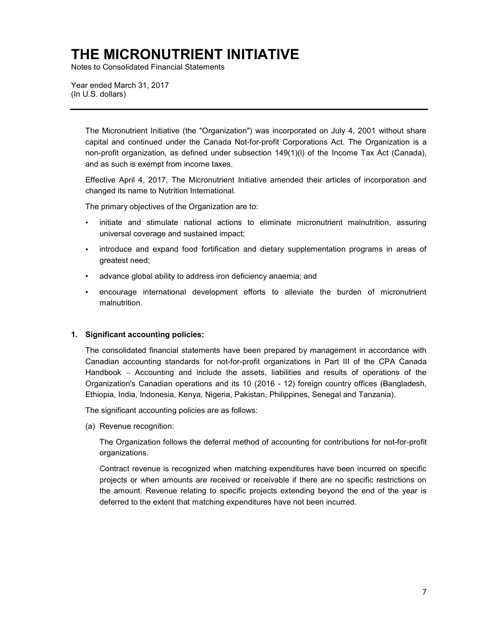Notes to Consolidated Financial Statements

Year ended March 31, 2017 (In U.S. dollars)

> The Micronutrient Initiative (the "Organization") was incorporated on July 4, 2001 without share capital and continued under the Canada Not-for-profit Corporations Act. The Organization is a non-profit organization, as defined under subsection 149(1)(l) of the Income Tax Act (Canada), and as such is exempt from income taxes.

> Effective April 4, 2017, The Micronutrient Initiative amended their articles of incorporation and changed its name to Nutrition International.

The primary objectives of the Organization are to:

- initiate and stimulate national actions to eliminate micronutrient malnutrition, assuring universal coverage and sustained impact;
- introduce and expand food fortification and dietary supplementation programs in areas of greatest need;
- advance global ability to address iron deficiency anaemia; and
- encourage international development efforts to alleviate the burden of micronutrient malnutrition.

#### 1. Significant accounting policies:

The consolidated financial statements have been prepared by management in accordance with Canadian accounting standards for not-for-profit organizations in Part III of the CPA Canada Handbook – Accounting and include the assets, liabilities and results of operations of the Organization's Canadian operations and its 10 (2016 - 12) foreign country offices (Bangladesh, Ethiopia, India, Indonesia, Kenya, Nigeria, Pakistan, Philippines, Senegal and Tanzania).

The significant accounting policies are as follows:

(a) Revenue recognition:

The Organization follows the deferral method of accounting for contributions for not-for-profit organizations.

Contract revenue is recognized when matching expenditures have been incurred on specific projects or when amounts are received or receivable if there are no specific restrictions on the amount. Revenue relating to specific projects extending beyond the end of the year is deferred to the extent that matching expenditures have not been incurred.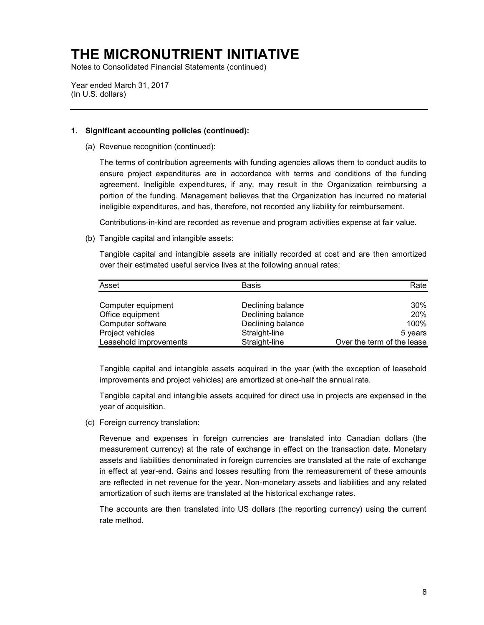Notes to Consolidated Financial Statements (continued)

Year ended March 31, 2017 (In U.S. dollars)

### 1. Significant accounting policies (continued):

(a) Revenue recognition (continued):

The terms of contribution agreements with funding agencies allows them to conduct audits to ensure project expenditures are in accordance with terms and conditions of the funding agreement. Ineligible expenditures, if any, may result in the Organization reimbursing a portion of the funding. Management believes that the Organization has incurred no material ineligible expenditures, and has, therefore, not recorded any liability for reimbursement.

Contributions-in-kind are recorded as revenue and program activities expense at fair value.

(b) Tangible capital and intangible assets:

Tangible capital and intangible assets are initially recorded at cost and are then amortized over their estimated useful service lives at the following annual rates:

| Asset                  | <b>Basis</b>      | Rate                       |
|------------------------|-------------------|----------------------------|
| Computer equipment     | Declining balance | 30%                        |
| Office equipment       | Declining balance | 20%                        |
| Computer software      | Declining balance | 100%                       |
| Project vehicles       | Straight-line     | 5 years                    |
| Leasehold improvements | Straight-line     | Over the term of the lease |

Tangible capital and intangible assets acquired in the year (with the exception of leasehold improvements and project vehicles) are amortized at one-half the annual rate.

Tangible capital and intangible assets acquired for direct use in projects are expensed in the year of acquisition.

(c) Foreign currency translation:

Revenue and expenses in foreign currencies are translated into Canadian dollars (the measurement currency) at the rate of exchange in effect on the transaction date. Monetary assets and liabilities denominated in foreign currencies are translated at the rate of exchange in effect at year-end. Gains and losses resulting from the remeasurement of these amounts are reflected in net revenue for the year. Non-monetary assets and liabilities and any related amortization of such items are translated at the historical exchange rates.

The accounts are then translated into US dollars (the reporting currency) using the current rate method.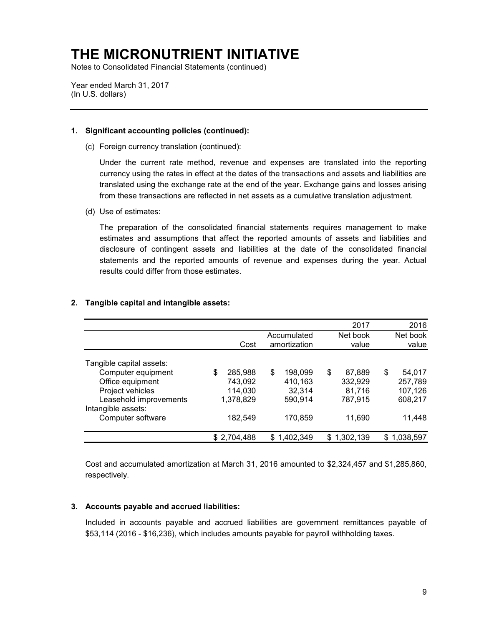Notes to Consolidated Financial Statements (continued)

Year ended March 31, 2017 (In U.S. dollars)

### 1. Significant accounting policies (continued):

(c) Foreign currency translation (continued):

Under the current rate method, revenue and expenses are translated into the reporting currency using the rates in effect at the dates of the transactions and assets and liabilities are translated using the exchange rate at the end of the year. Exchange gains and losses arising from these transactions are reflected in net assets as a cumulative translation adjustment.

(d) Use of estimates:

The preparation of the consolidated financial statements requires management to make estimates and assumptions that affect the reported amounts of assets and liabilities and disclosure of contingent assets and liabilities at the date of the consolidated financial statements and the reported amounts of revenue and expenses during the year. Actual results could differ from those estimates.

|                          |               |                             | 2017              | 2016              |
|--------------------------|---------------|-----------------------------|-------------------|-------------------|
|                          | Cost          | Accumulated<br>amortization | Net book<br>value | Net book<br>value |
| Tangible capital assets: |               |                             |                   |                   |
| Computer equipment       | \$<br>285,988 | \$<br>198.099               | \$<br>87,889      | \$<br>54,017      |
| Office equipment         | 743,092       | 410,163                     | 332,929           | 257,789           |
| Project vehicles         | 114,030       | 32,314                      | 81,716            | 107,126           |
| Leasehold improvements   | 1,378,829     | 590,914                     | 787,915           | 608.217           |
| Intangible assets:       |               |                             |                   |                   |
| Computer software        | 182,549       | 170,859                     | 11,690            | 11,448            |
|                          | \$2,704,488   | \$1,402,349                 | \$1,302,139       | \$1,038,597       |

### 2. Tangible capital and intangible assets:

Cost and accumulated amortization at March 31, 2016 amounted to \$2,324,457 and \$1,285,860, respectively.

### 3. Accounts payable and accrued liabilities:

Included in accounts payable and accrued liabilities are government remittances payable of \$53,114 (2016 - \$16,236), which includes amounts payable for payroll withholding taxes.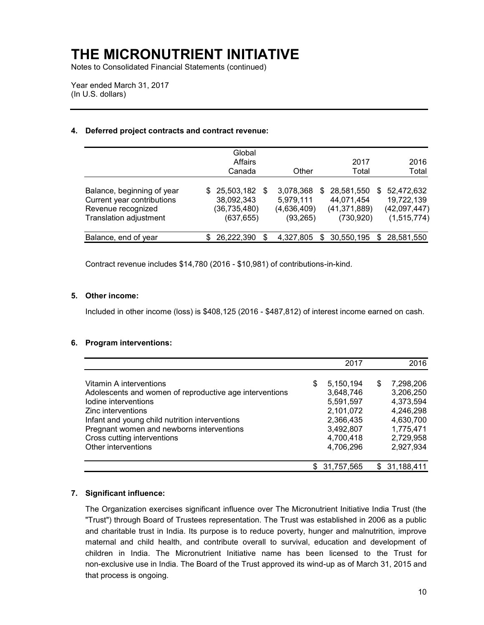Notes to Consolidated Financial Statements (continued)

Year ended March 31, 2017 (In U.S. dollars)

#### 4. Deferred project contracts and contract revenue:

|                            | Global              |                 |                |                  |
|----------------------------|---------------------|-----------------|----------------|------------------|
|                            | Affairs             |                 | 2017           | 2016             |
|                            | Canada              | Other           | Total          | Total            |
| Balance, beginning of year | 25,503,182 \$<br>S. | 3,078,368<br>S. | 28,581,550     | 52,472,632<br>S. |
| Current year contributions | 38,092,343          | 5,979,111       | 44,071,454     | 19,722,139       |
| Revenue recognized         | (36, 735, 480)      | (4,636,409)     | (41, 371, 889) | (42,097,447)     |
| Translation adjustment     | (637, 655)          | (93, 265)       | (730, 920)     | (1,515,774)      |
| Balance, end of year       | 26,222,390          | 4,327,805<br>S. | 30,550,195     | \$ 28,581,550    |

Contract revenue includes \$14,780 (2016 - \$10,981) of contributions-in-kind.

### 5. Other income:

Included in other income (loss) is \$408,125 (2016 - \$487,812) of interest income earned on cash.

#### 6. Program interventions:

|                                                         | 2017            |   | 2016         |
|---------------------------------------------------------|-----------------|---|--------------|
| Vitamin A interventions                                 | \$<br>5,150,194 | S | 7,298,206    |
| Adolescents and women of reproductive age interventions | 3,648,746       |   | 3,206,250    |
| lodine interventions                                    | 5,591,597       |   | 4,373,594    |
| Zinc interventions                                      | 2,101,072       |   | 4,246,298    |
| Infant and young child nutrition interventions          | 2,366,435       |   | 4,630,700    |
| Pregnant women and newborns interventions               | 3,492,807       |   | 1,775,471    |
| Cross cutting interventions                             | 4,700,418       |   | 2,729,958    |
| Other interventions                                     | 4,706,296       |   | 2,927,934    |
|                                                         | \$ 31,757,565   |   | \$31,188,411 |

### 7. Significant influence:

The Organization exercises significant influence over The Micronutrient Initiative India Trust (the "Trust") through Board of Trustees representation. The Trust was established in 2006 as a public and charitable trust in India. Its purpose is to reduce poverty, hunger and malnutrition, improve maternal and child health, and contribute overall to survival, education and development of children in India. The Micronutrient Initiative name has been licensed to the Trust for non-exclusive use in India. The Board of the Trust approved its wind-up as of March 31, 2015 and that process is ongoing.